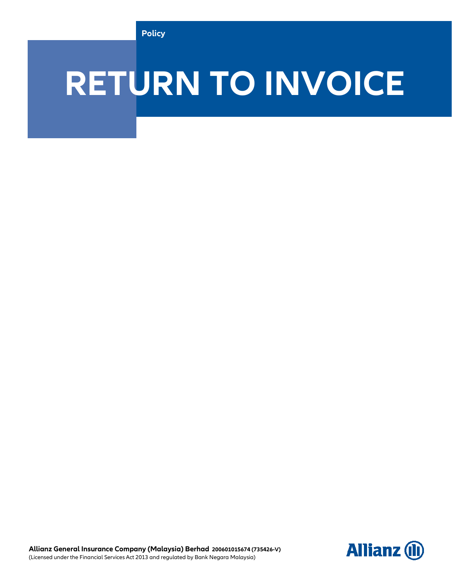# **RETURN TO INVOICE**

**Allianz General Insurance Company (Malaysia) Berhad 200601015674 (735426-V)** (Licensed under the Financial Services Act 2013 and regulated by Bank Negara Malaysia)

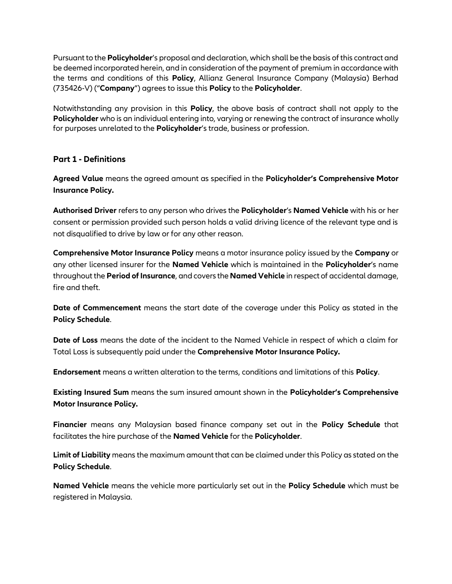Pursuant to the **Policyholder**'s proposal and declaration, which shall be the basis of this contract and be deemed incorporated herein, and in consideration of the payment of premium in accordance with the terms and conditions of this **Policy**, Allianz General Insurance Company (Malaysia) Berhad (735426-V) ("**Company**") agrees to issue this **Policy** to the **Policyholder**.

Notwithstanding any provision in this **Policy**, the above basis of contract shall not apply to the **Policyholder** who is an individual entering into, varying or renewing the contract of insurance wholly for purposes unrelated to the **Policyholder**'s trade, business or profession.

## **Part 1 - Definitions**

**Agreed Value** means the agreed amount as specified in the **Policyholder's Comprehensive Motor Insurance Policy.**

**Authorised Driver** refers to any person who drives the **Policyholder**'s **Named Vehicle** with his or her consent or permission provided such person holds a valid driving licence of the relevant type and is not disqualified to drive by law or for any other reason.

**Comprehensive Motor Insurance Policy** means a motor insurance policy issued by the **Company** or any other licensed insurer for the **Named Vehicle** which is maintained in the **Policyholder**'s name throughout the **Period of Insurance**, and covers the **Named Vehicle** in respect of accidental damage, fire and theft.

**Date of Commencement** means the start date of the coverage under this Policy as stated in the **Policy Schedule**.

**Date of Loss** means the date of the incident to the Named Vehicle in respect of which a claim for Total Loss is subsequently paid under the **Comprehensive Motor Insurance Policy.**

**Endorsement** means a written alteration to the terms, conditions and limitations of this **Policy**.

**Existing Insured Sum** means the sum insured amount shown in the **Policyholder's Comprehensive Motor Insurance Policy.**

**Financier** means any Malaysian based finance company set out in the **Policy Schedule** that facilitates the hire purchase of the **Named Vehicle** for the **Policyholder**.

**Limit of Liability** means the maximum amount that can be claimed under this Policy as stated on the **Policy Schedule**.

**Named Vehicle** means the vehicle more particularly set out in the **Policy Schedule** which must be registered in Malaysia.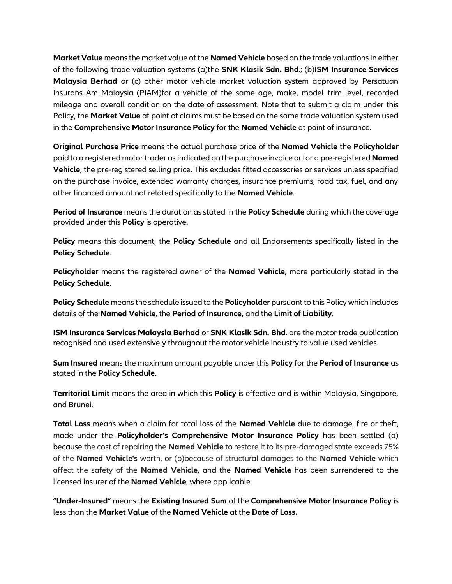of the following trade valuation systems (a)the **SNK Klasik Sdn. Bhd**.; (b)**ISM Insurance Services**<br>**Malaysia Berhad** or (c) other motor vehicle market valuation system approved by Persatuan<br>Insurans Am Malaysia (PIAM)for **Market Value** means the market value of the **Named Vehicle** based on the trade valuations in either of the following trade valuation systems (a)the **SNK Klasik Sdn. Bhd**.; (b)**ISM Insurance Services Malaysia Berhad** or (c) other motor vehicle market valuation system approved by Persatuan mileage and overall condition on the date of assessment. Note that to submit a claim under this Policy, the **Market Value** at point of claims must be based on the same trade valuation system used in the **Comprehensive Motor Insurance Policy** for the **Named Vehicle** at point of insurance.

**Original Purchase Price** means the actual purchase price of the **Named Vehicle** the **Policyholder** paid to a registered motor trader as indicated on the purchase invoice or for a pre-registered **Named Vehicle**, the pre-registered selling price. This excludes fitted accessories or services unless specified on the purchase invoice, extended warranty charges, insurance premiums, road tax, fuel, and any other financed amount not related specifically to the **Named Vehicle**.

**Period of Insurance** means the duration as stated in the **Policy Schedule** during which the coverage provided under this **Policy** is operative.

**Policy** means this document, the **Policy Schedule** and all Endorsements specifically listed in the **Policy Schedule**.

**Policyholder** means the registered owner of the **Named Vehicle**, more particularly stated in the **Policy Schedule**.

**Policy Schedule** means the schedule issued to the **Policyholder** pursuant to this Policy which includes details of the **Named Vehicle**, the **Period of Insurance,** and the **Limit of Liability**.

**ISM Insurance Services Malaysia Berhad** or **SNK Klasik Sdn. Bhd**. are the motor trade publication recognised and used extensively throughout the motor vehicle industry to value used vehicles.

**Sum Insured** means the maximum amount payable under this **Policy** for the **Period of Insurance** as stated in the **Policy Schedule**.

**Territorial Limit** means the area in which this **Policy** is effective and is within Malaysia, Singapore, and Brunei.

**Total Loss** means when a claim for total loss of the **Named Vehicle** due to damage, fire or theft, made under the **Policyholder's Comprehensive Motor Insurance Policy** has been settled (a) because the cost of repairing the **Named Vehicle** to restore it to its pre-damaged state exceeds 75% of the **Named Vehicle's** worth, or (b)because of structural damages to the **Named Vehicle** which affect the safety of the **Named Vehicle**, and the **Named Vehicle** has been surrendered to the licensed insurer of the **Named Vehicle**, where applicable.

"**Under-Insured**" means the **Existing Insured Sum** of the **Comprehensive Motor Insurance Policy** is less than the **Market Value** of the **Named Vehicle** at the **Date of Loss.**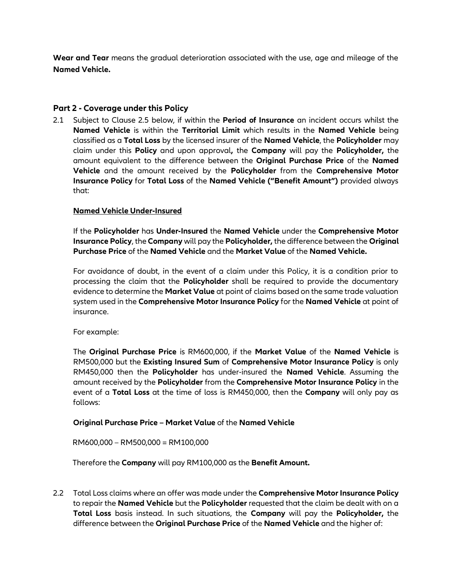red Vehicle.<br>**Return To Invoice and Service**<br>Return To Invoice and Service and Service and Service and Service and Service and Service and Service and Service **Wear and Tear** means the gradual deterioration associated with the use, age and mileage of the **Named Vehicle.**

## **Part 2 - Coverage under this Policy**

2.1 Subject to Clause 2.5 below, if within the **Period of Insurance** an incident occurs whilst the **Named Vehicle** is within the **Territorial Limit** which results in the **Named Vehicle** being classified as a **Total Loss** by the licensed insurer of the **Named Vehicle**, the **Policyholder** may claim under this **Policy** and upon approval**,** the **Company** will pay the **Policyholder,** the amount equivalent to the difference between the **Original Purchase Price** of the **Named Vehicle** and the amount received by the **Policyholder** from the **Comprehensive Motor Insurance Policy** for **Total Loss** of the **Named Vehicle ("Benefit Amount")** provided always that:

## **Named Vehicle Under-Insured**

If the **Policyholder** has **Under-Insured** the **Named Vehicle** under the **Comprehensive Motor Insurance Policy**, the **Company** will pay the **Policyholder,** the difference between the **Original Purchase Price** of the **Named Vehicle** and the **Market Value** of the **Named Vehicle.**

For avoidance of doubt, in the event of a claim under this Policy, it is a condition prior to processing the claim that the **Policyholder** shall be required to provide the documentary evidence to determine the **Market Value** at point of claims based on the same trade valuation system used in the **Comprehensive Motor Insurance Policy** for the **Named Vehicle** at point of insurance.

For example:

The **Original Purchase Price** is RM600,000, if the **Market Value** of the **Named Vehicle** is RM500,000 but the **Existing Insured Sum** of **Comprehensive Motor Insurance Policy** is only RM450,000 then the **Policyholder** has under-insured the **Named Vehicle**. Assuming the amount received by the **Policyholder** from the **Comprehensive Motor Insurance Policy** in the event of a **Total Loss** at the time of loss is RM450,000, then the **Company** will only pay as follows:

#### **Original Purchase Price – Market Value** of the **Named Vehicle**

RM600,000 – RM500,000 = RM100,000

Therefore the **Company** will pay RM100,000 as the **Benefit Amount.**

2.2 Total Loss claims where an offer was made under the **Comprehensive Motor Insurance Policy**  to repair the **Named Vehicle** but the **Policyholder** requested that the claim be dealt with on a **Total Loss** basis instead. In such situations, the **Company** will pay the **Policyholder,** the difference between the **Original Purchase Price** of the **Named Vehicle** and the higher of: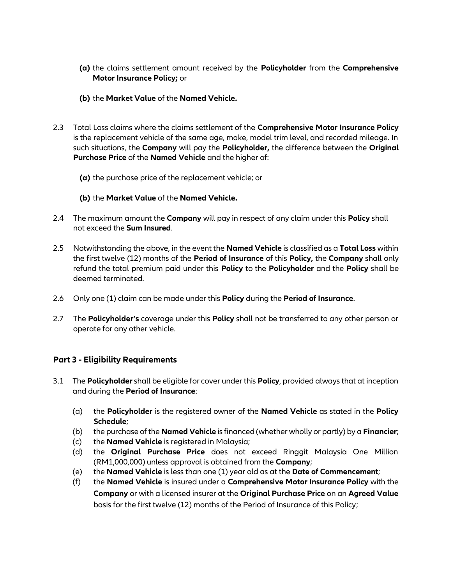- **(a)** the claims settlement amount received by the **Policyholder** from the **Comprehensive**<br>**Motor Insurance Policy;** or<br>**(b)** the **Market Value** of the **Named Vehicle. Motor Insurance Policy;** or
	- **(b)** the **Market Value** of the **Named Vehicle.**
- 2.3 Total Loss claims where the claims settlement of the **Comprehensive Motor Insurance Policy**  is the replacement vehicle of the same age, make, model trim level, and recorded mileage. In such situations, the **Company** will pay the **Policyholder,** the difference between the **Original Purchase Price** of the **Named Vehicle** and the higher of:
	- **(a)** the purchase price of the replacement vehicle; or
	- **(b)** the **Market Value** of the **Named Vehicle.**
- 2.4 The maximum amount the **Company** will pay in respect of any claim under this **Policy** shall not exceed the **Sum Insured**.
- 2.5 Notwithstanding the above, in the event the **Named Vehicle** is classified as a **Total Loss** within the first twelve (12) months of the **Period of Insurance** of this **Policy,** the **Company** shall only refund the total premium paid under this **Policy** to the **Policyholder** and the **Policy** shall be deemed terminated.
- 2.6 Only one (1) claim can be made under this **Policy** during the **Period of Insurance**.
- 2.7 The **Policyholder's** coverage under this **Policy** shall not be transferred to any other person or operate for any other vehicle.

## **Part 3 - Eligibility Requirements**

- 3.1 The **Policyholder** shall be eligible for cover under this **Policy**, provided always that at inception and during the **Period of Insurance**:
	- (a) the **Policyholder** is the registered owner of the **Named Vehicle** as stated in the **Policy Schedule**;
	- (b) the purchase of the **Named Vehicle** is financed (whether wholly or partly) by a **Financier**;
	- (c) the **Named Vehicle** is registered in Malaysia;
	- (d) the **Original Purchase Price** does not exceed Ringgit Malaysia One Million (RM1,000,000) unless approval is obtained from the **Company**;
	- (e) the **Named Vehicle** is less than one (1) year old as at the **Date of Commencement**;
	- (f) the **Named Vehicle** is insured under a **Comprehensive Motor Insurance Policy** with the **Company** or with a licensed insurer at the **Original Purchase Price** on an **Agreed Value**  basis for the first twelve (12) months of the Period of Insurance of this Policy;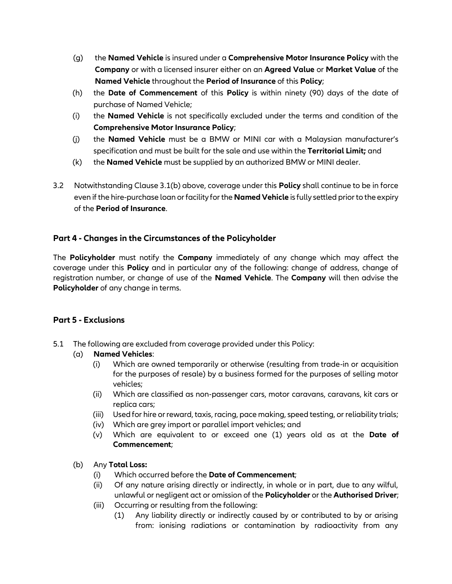- **RETURN TO INVOITED Company** or with a licensed insurer either on an **Agreed Value** or **Market Value** of the<br>**RETURN TO INVOITED Named Vehicle** throughout the **Period of Insurance** of this **Policy**;<br>(h) the **Date of Commen** (g) the **Named Vehicle** is insured under a **Comprehensive Motor Insurance Policy** with the **Company** or with a licensed insurer either on an **Agreed Value** or **Market Value** of the **Named Vehicle** throughout the **Period of Insurance** of this **Policy**;
	- purchase of Named Vehicle;
	- (i) the **Named Vehicle** is not specifically excluded under the terms and condition of the **Comprehensive Motor Insurance Policy**;
	- (j) the **Named Vehicle** must be a BMW or MINI car with a Malaysian manufacturer's specification and must be built for the sale and use within the **Territorial Limit;** and
	- (k) the **Named Vehicle** must be supplied by an authorized BMW or MINI dealer.
- 3.2 Notwithstanding Clause 3.1(b) above, coverage under this **Policy** shall continue to be in force even if the hire-purchase loan or facility for the **Named Vehicle** is fully settled prior to the expiry of the **Period of Insurance**.

## **Part 4 - Changes in the Circumstances of the Policyholder**

The **Policyholder** must notify the **Company** immediately of any change which may affect the coverage under this **Policy** and in particular any of the following: change of address, change of registration number, or change of use of the **Named Vehicle**. The **Company** will then advise the **Policyholder** of any change in terms.

## **Part 5 - Exclusions**

5.1 The following are excluded from coverage provided under this Policy:

## (a) **Named Vehicles**:

- (i) Which are owned temporarily or otherwise (resulting from trade-in or acquisition for the purposes of resale) by a business formed for the purposes of selling motor vehicles;
- (ii) Which are classified as non-passenger cars, motor caravans, caravans, kit cars or replica cars;
- (iii) Used for hire or reward, taxis, racing, pace making, speed testing, or reliability trials;
- (iv) Which are grey import or parallel import vehicles; and
- (v) Which are equivalent to or exceed one (1) years old as at the **Date of Commencement**;

## (b) Any **Total Loss:**

- (i) Which occurred before the **Date of Commencement**;
- (ii) Of any nature arising directly or indirectly, in whole or in part, due to any wilful, unlawful or negligent act or omission of the **Policyholder** or the **Authorised Driver**;
- (iii) Occurring or resulting from the following:
	- (1) Any liability directly or indirectly caused by or contributed to by or arising from: ionising radiations or contamination by radioactivity from any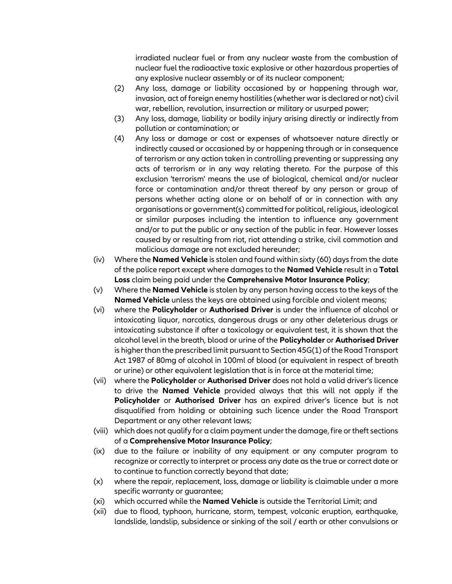irradiated nuclear fuel or from any nuclear waste from the combustion of nuclear fuel the radioactive toxic explosive or other hazardous properties of any explosive nuclear assembly or of its nuclear component;

- nuclear fuel the radioactive toxic explosive or other hazardous properties of<br>any explosive nuclear assembly or of its nuclear component;<br>(2) Any loss, damage or liability occasioned by or happening through war,<br>invasion, (2) Any loss, damage or liability occasioned by or happening through war, invasion, act of foreign enemy hostilities (whether war is declared or not) civil war, rebellion, revolution, insurrection or military or usurped power;
	- (3) Any loss, damage, liability or bodily injury arising directly or indirectly from pollution or contamination; or
	- (4) Any loss or damage or cost or expenses of whatsoever nature directly or indirectly caused or occasioned by or happening through or in consequence of terrorism or any action taken in controlling preventing or suppressing any acts of terrorism or in any way relating thereto. For the purpose of this exclusion 'terrorism' means the use of biological, chemical and/or nuclear force or contamination and/or threat thereof by any person or group of persons whether acting alone or on behalf of or in connection with any organisations or government(s) committed for political, religious, ideological or similar purposes including the intention to influence any government and/or to put the public or any section of the public in fear. However losses caused by or resulting from riot, riot attending a strike, civil commotion and malicious damage are not excluded hereunder;
	- (iv) Where the **Named Vehicle** is stolen and found within sixty (60) days from the date of the police report except where damages to the **Named Vehicle** result in a **Total Loss** claim being paid under the **Comprehensive Motor Insurance Policy**;
	- (v) Where the **Named Vehicle** is stolen by any person having access to the keys of the **Named Vehicle** unless the keys are obtained using forcible and violent means;
	- (vi) where the **Policyholder** or **Authorised Driver** is under the influence of alcohol or intoxicating liquor, narcotics, dangerous drugs or any other deleterious drugs or intoxicating substance if after a toxicology or equivalent test, it is shown that the alcohol level in the breath, blood or urine of the **Policyholder** or **Authorised Driver** is higher than the prescribed limit pursuant to Section 45G(1) of the Road Transport Act 1987 of 80mg of alcohol in 100ml of blood (or equivalent in respect of breath or urine) or other equivalent legislation that is in force at the material time;
	- (vii) where the **Policyholder** or **Authorised Driver** does not hold a valid driver's licence to drive the **Named Vehicle** provided always that this will not apply if the **Policyholder** or **Authorised Driver** has an expired driver's licence but is not disqualified from holding or obtaining such licence under the Road Transport Department or any other relevant laws;
	- (viii) which does not qualify for a claim payment under the damage, fire or theft sections of a **Comprehensive Motor Insurance Policy**;
	- (ix) due to the failure or inability of any equipment or any computer program to recognize or correctly to interpret or process any date as the true or correct date or to continue to function correctly beyond that date;
	- (x) where the repair, replacement, loss, damage or liability is claimable under a more specific warranty or guarantee;
	- (xi) which occurred while the **Named Vehicle** is outside the Territorial Limit; and
	- (xii) due to flood, typhoon, hurricane, storm, tempest, volcanic eruption, earthquake, landslide, landslip, subsidence or sinking of the soil / earth or other convulsions or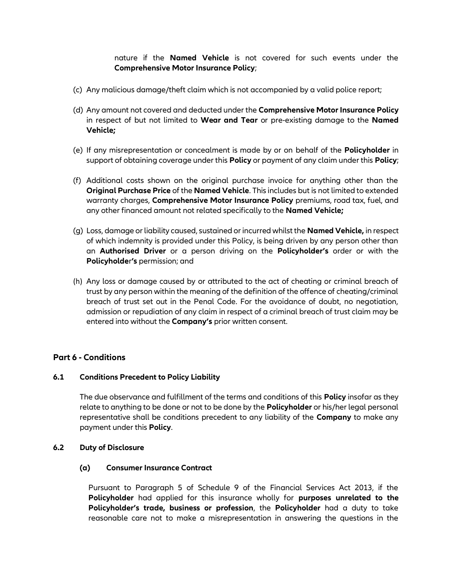nature if the **Named Vehicle** is not covered for such events under the **Comprehensive Motor Insurance Policy**;

- **Comprenensive Motor insurance Policy;**<br>(c) Any malicious damage/theft claim which is not accompanied by a valid police report; (c) Any malicious damage/theft claim which is not accompanied by a valid police report;
	- (d) Any amount not covered and deducted under the **Comprehensive Motor Insurance Policy**  in respect of but not limited to **Wear and Tear** or pre-existing damage to the **Named Vehicle;**
	- (e) If any misrepresentation or concealment is made by or on behalf of the **Policyholder** in support of obtaining coverage under this **Policy** or payment of any claim under this **Policy**;
	- (f) Additional costs shown on the original purchase invoice for anything other than the **Original Purchase Price** of the **Named Vehicle**. This includes but is not limited to extended warranty charges, **Comprehensive Motor Insurance Policy** premiums, road tax, fuel, and any other financed amount not related specifically to the **Named Vehicle;**
	- (g) Loss, damage or liability caused, sustained or incurred whilst the **Named Vehicle,** in respect of which indemnity is provided under this Policy, is being driven by any person other than an **Authorised Driver** or a person driving on the **Policyholder's** order or with the **Policyholde**r**'s** permission; and
	- (h) Any loss or damage caused by or attributed to the act of cheating or criminal breach of trust by any person within the meaning of the definition of the offence of cheating/criminal breach of trust set out in the Penal Code. For the avoidance of doubt, no negotiation, admission or repudiation of any claim in respect of a criminal breach of trust claim may be entered into without the **Company's** prior written consent.

## **Part 6 - Conditions**

#### **6.1 Conditions Precedent to Policy Liability**

The due observance and fulfillment of the terms and conditions of this **Policy** insofar as they relate to anything to be done or not to be done by the **Policyholder** or his/her legal personal representative shall be conditions precedent to any liability of the **Company** to make any payment under this **Policy**.

#### **6.2 Duty of Disclosure**

#### **(a) Consumer Insurance Contract**

Pursuant to Paragraph 5 of Schedule 9 of the Financial Services Act 2013, if the **Policyholder** had applied for this insurance wholly for **purposes unrelated to the Policyholder's trade, business or profession**, the **Policyholder** had a duty to take reasonable care not to make a misrepresentation in answering the questions in the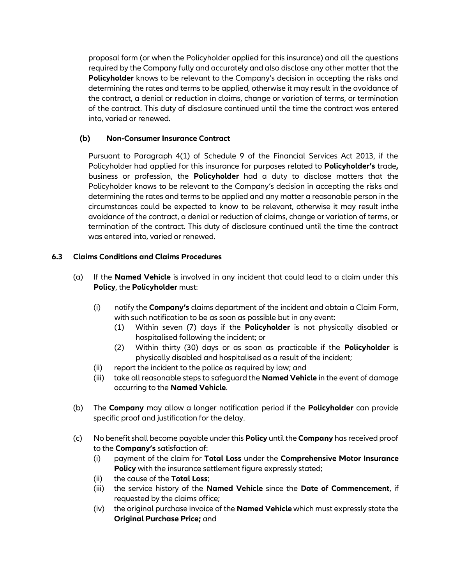required by the Company fully and accurately and also disclose any other matter that the<br>**Policyholder** knows to be relevant to the Company's decision in accepting the risks and<br>determining the rates and terms to be applie proposal form (or when the Policyholder applied for this insurance) and all the questions required by the Company fully and accurately and also disclose any other matter that the **Policyholder** knows to be relevant to the Company's decision in accepting the risks and determining the rates and terms to be applied, otherwise it may result in the avoidance of the contract, a denial or reduction in claims, change or variation of terms, or termination of the contract. This duty of disclosure continued until the time the contract was entered into, varied or renewed.

## **(b) Non-Consumer Insurance Contract**

Pursuant to Paragraph 4(1) of Schedule 9 of the Financial Services Act 2013, if the Policyholder had applied for this insurance for purposes related to **Policyholder's** trade**,**  business or profession, the **Policyholder** had a duty to disclose matters that the Policyholder knows to be relevant to the Company's decision in accepting the risks and determining the rates and terms to be applied and any matter a reasonable person in the circumstances could be expected to know to be relevant, otherwise it may result inthe avoidance of the contract, a denial or reduction of claims, change or variation of terms, or termination of the contract. This duty of disclosure continued until the time the contract was entered into, varied or renewed.

## **6.3 Claims Conditions and Claims Procedures**

- (a) If the **Named Vehicle** is involved in any incident that could lead to a claim under this **Policy**, the **Policyholder** must:
	- (i) notify the **Company's** claims department of the incident and obtain a Claim Form, with such notification to be as soon as possible but in any event:
		- (1) Within seven (7) days if the **Policyholder** is not physically disabled or hospitalised following the incident; or
		- (2) Within thirty (30) days or as soon as practicable if the **Policyholder** is physically disabled and hospitalised as a result of the incident;
	- (ii) report the incident to the police as required by law; and
	- (iii) take all reasonable steps to safeguard the **Named Vehicle** in the event of damage occurring to the **Named Vehicle**.
- (b) The **Company** may allow a longer notification period if the **Policyholder** can provide specific proof and justification for the delay.
- (c) No benefit shall become payable under this **Policy** until the **Company** has received proof to the **Company's** satisfaction of:
	- (i) payment of the claim for **Total Loss** under the **Comprehensive Motor Insurance Policy** with the insurance settlement figure expressly stated;
	- (ii) the cause of the **Total Loss**;
	- (iii) the service history of the **Named Vehicle** since the **Date of Commencement**, if requested by the claims office;
	- (iv) the original purchase invoice of the **Named Vehicle** which must expressly state the **Original Purchase Price;** and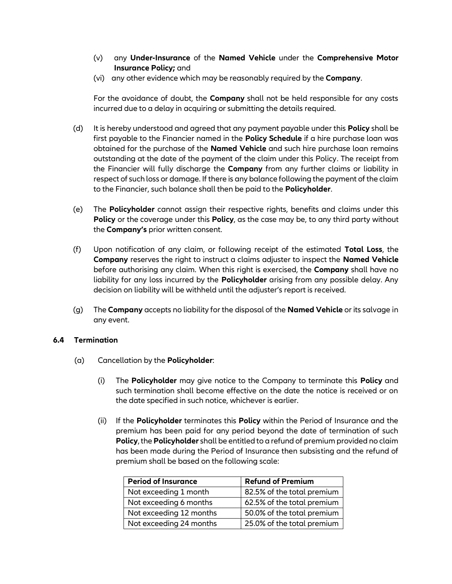- (v) any **Under-Insurance** of the **Named Vehicle** under the **Comprehensive Motor Insurance Policy;** and
- (vi) any other evidence which may be reasonably required by the **Company**.

**RETURN TILE INSURATE POICY;** and<br>(vi) any other evidence which may be reasonably required by the **Company**.<br>For the avoidance of doubt, the **Company** shall not be held responsible for any costs incurred due to a delay in acquiring or submitting the details required.

- (d) It is hereby understood and agreed that any payment payable under this **Policy** shall be first payable to the Financier named in the **Policy Schedule** if a hire purchase loan was obtained for the purchase of the **Named Vehicle** and such hire purchase loan remains outstanding at the date of the payment of the claim under this Policy. The receipt from the Financier will fully discharge the **Company** from any further claims or liability in respect of such loss or damage. If there is any balance following the payment of the claim to the Financier, such balance shall then be paid to the **Policyholder**.
- (e) The **Policyholder** cannot assign their respective rights, benefits and claims under this **Policy** or the coverage under this **Policy**, as the case may be, to any third party without the **Company's** prior written consent.
- (f) Upon notification of any claim, or following receipt of the estimated **Total Loss**, the **Company** reserves the right to instruct a claims adjuster to inspect the **Named Vehicle**  before authorising any claim. When this right is exercised, the **Company** shall have no liability for any loss incurred by the **Policyholder** arising from any possible delay. Any decision on liability will be withheld until the adjuster's report is received.
- (g) The **Company** accepts no liability for the disposal of the **Named Vehicle** or its salvage in any event.

## **6.4 Termination**

- (a) Cancellation by the **Policyholder**:
	- (i) The **Policyholder** may give notice to the Company to terminate this **Policy** and such termination shall become effective on the date the notice is received or on the date specified in such notice, whichever is earlier.
	- (ii) If the **Policyholder** terminates this **Policy** within the Period of Insurance and the premium has been paid for any period beyond the date of termination of such **Policy**, the **Policyholder** shall be entitled to a refund of premium provided no claim has been made during the Period of Insurance then subsisting and the refund of premium shall be based on the following scale:

| <b>Period of Insurance</b> | <b>Refund of Premium</b>   |
|----------------------------|----------------------------|
| Not exceeding 1 month      | 82.5% of the total premium |
| Not exceeding 6 months     | 62.5% of the total premium |
| Not exceeding 12 months    | 50.0% of the total premium |
| Not exceeding 24 months    | 25.0% of the total premium |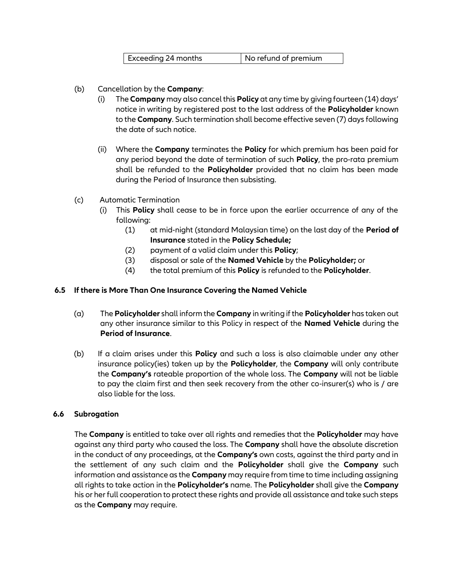| Exceeding 24 months | No refund of premium |
|---------------------|----------------------|

- (b) Cancellation by the **Company**:
- (b) Cancellation by the **Company**:<br>(i) The **Company** may also cancel this **Policy** at any time by giving fourteen (14) days' notice in writing by registered post to the last address of the **Policyholder** known to the **Company**. Such termination shall become effective seven (7) days following the date of such notice.
	- (ii) Where the **Company** terminates the **Policy** for which premium has been paid for any period beyond the date of termination of such **Policy**, the pro-rata premium shall be refunded to the **Policyholder** provided that no claim has been made during the Period of Insurance then subsisting.
	- (c) Automatic Termination
		- (i) This **Policy** shall cease to be in force upon the earlier occurrence of any of the following:
			- (1) at mid-night (standard Malaysian time) on the last day of the **Period of Insurance** stated in the **Policy Schedule;**
			- (2) payment of a valid claim under this **Policy**;
			- (3) disposal or sale of the **Named Vehicle** by the **Policyholder;** or
			- (4) the total premium of this **Policy** is refunded to the **Policyholder**.

## **6.5 If there is More Than One Insurance Covering the Named Vehicle**

- (a) The **Policyholder** shall inform the **Company** in writing if the **Policyholder** has taken out any other insurance similar to this Policy in respect of the **Named Vehicle** during the **Period of Insurance**.
- (b) If a claim arises under this **Policy** and such a loss is also claimable under any other insurance policy(ies) taken up by the **Policyholder**, the **Company** will only contribute the **Company's** rateable proportion of the whole loss. The **Company** will not be liable to pay the claim first and then seek recovery from the other co-insurer(s) who is / are also liable for the loss.

## **6.6 Subrogation**

The **Company** is entitled to take over all rights and remedies that the **Policyholder** may have against any third party who caused the loss. The **Company** shall have the absolute discretion in the conduct of any proceedings, at the **Company's** own costs, against the third party and in the settlement of any such claim and the **Policyholder** shall give the **Company** such information and assistance as the **Company** may require from time to time including assigning all rights to take action in the **Policyholder's** name. The **Policyholder** shall give the **Company** his or her full cooperation to protect these rights and provide all assistance and take such steps as the **Company** may require.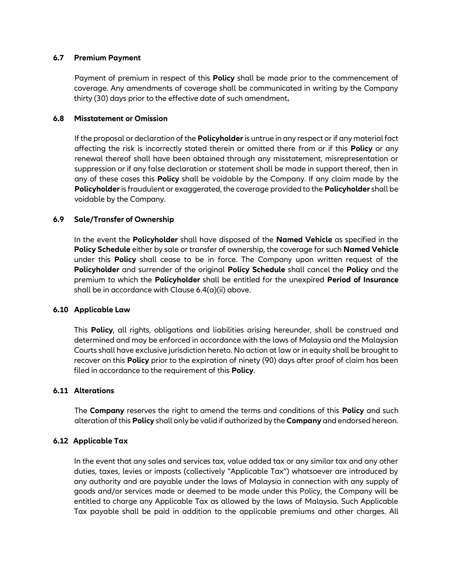### **6.7 Premium Payment**

Payment of premium in respect of this **Policy** shall be made prior to the commencement of<br>coverage. Any amendments of coverage shall be communicated in writing by the Company<br>thirty (30) days prior to the effective date of Payment of premium in respect of this **Policy** shall be made prior to the commencement of coverage. Any amendments of coverage shall be communicated in writing by the Company thirty (30) days prior to the effective date of such amendment**.**

### **6.8 Misstatement or Omission**

If the proposal or declaration of the **Policyholder**is untrue in any respect or if any material fact affecting the risk is incorrectly stated therein or omitted there from or if this **Policy** or any renewal thereof shall have been obtained through any misstatement, misrepresentation or suppression or if any false declaration or statement shall be made in support thereof, then in any of these cases this **Policy** shall be voidable by the Company. If any claim made by the **Policyholder**is fraudulent or exaggerated, the coverage provided to the **Policyholder** shall be voidable by the Company.

## **6.9 Sale/Transfer of Ownership**

In the event the **Policyholder** shall have disposed of the **Named Vehicle** as specified in the **Policy Schedule** either by sale or transfer of ownership, the coverage for such **Named Vehicle** under this **Policy** shall cease to be in force. The Company upon written request of the **Policyholder** and surrender of the original **Policy Schedule** shall cancel the **Policy** and the premium to which the **Policyholder** shall be entitled for the unexpired **Period of Insurance** shall be in accordance with Clause 6.4(a)(ii) above.

#### **6.10 Applicable Law**

This **Policy**, all rights, obligations and liabilities arising hereunder, shall be construed and determined and may be enforced in accordance with the laws of Malaysia and the Malaysian Courts shall have exclusive jurisdiction hereto. No action at law or in equity shall be brought to recover on this **Policy** prior to the expiration of ninety (90) days after proof of claim has been filed in accordance to the requirement of this **Policy**.

#### **6.11 Alterations**

The **Company** reserves the right to amend the terms and conditions of this **Policy** and such alteration of this **Policy** shall only be valid if authorized by the **Company** and endorsed hereon.

#### **6.12 Applicable Tax**

In the event that any sales and services tax, value added tax or any similar tax and any other duties, taxes, levies or imposts (collectively "Applicable Tax") whatsoever are introduced by any authority and are payable under the laws of Malaysia in connection with any supply of goods and/or services made or deemed to be made under this Policy, the Company will be entitled to charge any Applicable Tax as allowed by the laws of Malaysia. Such Applicable Tax payable shall be paid in addition to the applicable premiums and other charges. All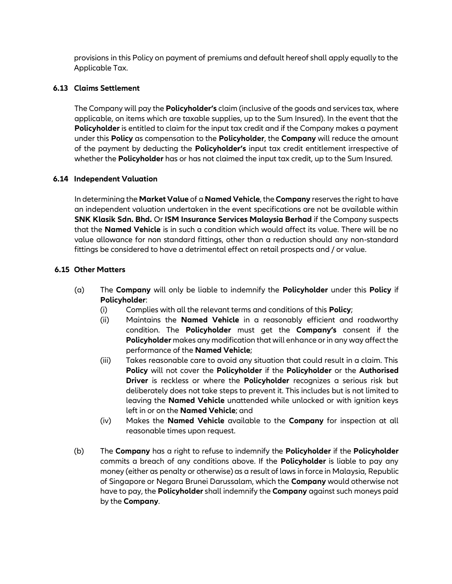**Replicable Tax.**<br>**3 Claims Settlement** provisions in this Policy on payment of premiums and default hereof shall apply equally to the Applicable Tax.

## **6.13 Claims Settlement**

The Company will pay the **Policyholder's** claim (inclusive of the goods and services tax, where applicable, on items which are taxable supplies, up to the Sum Insured). In the event that the **Policyholder** is entitled to claim for the input tax credit and if the Company makes a payment under this **Policy** as compensation to the **Policyholder**, the **Company** will reduce the amount of the payment by deducting the **Policyholder's** input tax credit entitlement irrespective of whether the **Policyholder** has or has not claimed the input tax credit, up to the Sum Insured.

## **6.14 Independent Valuation**

In determining the **Market Value** of a **Named Vehicle**, the **Company** reserves the right to have an independent valuation undertaken in the event specifications are not be available within **SNK Klasik Sdn. Bhd.** Or **ISM Insurance Services Malaysia Berhad** if the Company suspects that the **Named Vehicle** is in such a condition which would affect its value. There will be no value allowance for non standard fittings, other than a reduction should any non-standard fittings be considered to have a detrimental effect on retail prospects and / or value.

## **6.15 Other Matters**

- (a) The **Company** will only be liable to indemnify the **Policyholder** under this **Policy** if **Policyholder**:
	- (i) Complies with all the relevant terms and conditions of this **Policy**;
	- (ii) Maintains the **Named Vehicle** in a reasonably efficient and roadworthy condition. The **Policyholder** must get the **Company's** consent if the **Policyholder** makes any modification that will enhance or in any way affect the performance of the **Named Vehicle**;
	- (iii) Takes reasonable care to avoid any situation that could result in a claim. This **Policy** will not cover the **Policyholder** if the **Policyholder** or the **Authorised Driver** is reckless or where the **Policyholder** recognizes a serious risk but deliberately does not take steps to prevent it. This includes but is not limited to leaving the **Named Vehicle** unattended while unlocked or with ignition keys left in or on the **Named Vehicle**; and
	- (iv) Makes the **Named Vehicle** available to the **Company** for inspection at all reasonable times upon request.
- (b) The **Company** has a right to refuse to indemnify the **Policyholder** if the **Policyholder** commits a breach of any conditions above. If the **Policyholder** is liable to pay any money (either as penalty or otherwise) as a result of laws in force in Malaysia, Republic of Singapore or Negara Brunei Darussalam, which the **Company** would otherwise not have to pay, the **Policyholder** shall indemnify the **Company** against such moneys paid by the **Company**.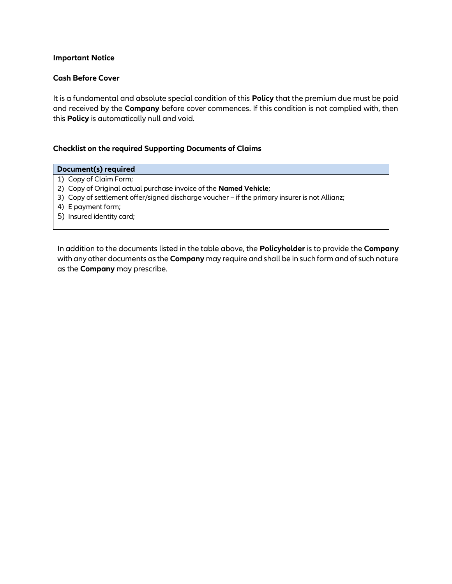#### **Important Notice**

#### **Cash Before Cover**

**Cash Before Cover**<br>It is a fundamental and absolute special condition of this **Policy** that the premium due must be paid and received by the **Company** before cover commences. If this condition is not complied with, then this **Policy** is automatically null and void.

#### **Checklist on the required Supporting Documents of Claims**

#### **Document(s) required**

- 1) Copy of Claim Form;
- 2) Copy of Original actual purchase invoice of the **Named Vehicle**;
- 3) Copy of settlement offer/signed discharge voucher if the primary insurer is not Allianz;
- 4) E payment form;
- 5) Insured identity card;

In addition to the documents listed in the table above, the **Policyholder** is to provide the **Company** with any other documents as the **Company** may require and shall be in such form and of such nature as the **Company** may prescribe.